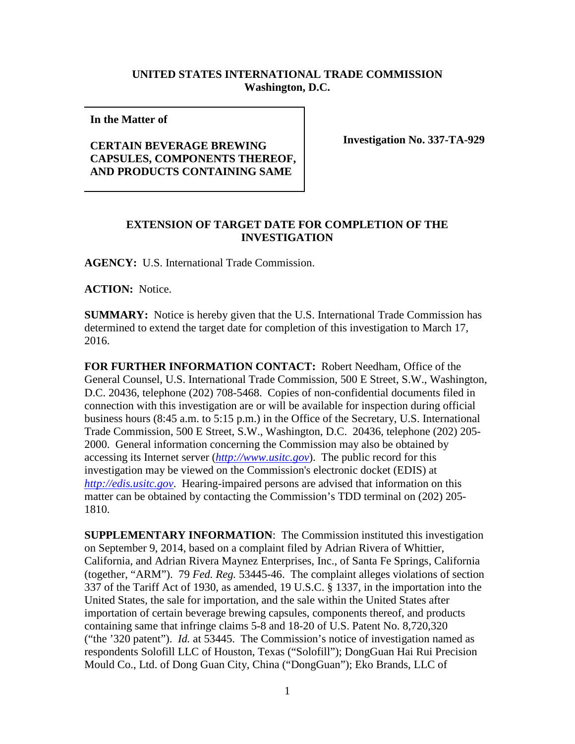## **UNITED STATES INTERNATIONAL TRADE COMMISSION Washington, D.C.**

**In the Matter of** 

## **CERTAIN BEVERAGE BREWING CAPSULES, COMPONENTS THEREOF, AND PRODUCTS CONTAINING SAME**

**Investigation No. 337-TA-929**

## **EXTENSION OF TARGET DATE FOR COMPLETION OF THE INVESTIGATION**

**AGENCY:** U.S. International Trade Commission.

**ACTION:** Notice.

**SUMMARY:** Notice is hereby given that the U.S. International Trade Commission has determined to extend the target date for completion of this investigation to March 17, 2016.

**FOR FURTHER INFORMATION CONTACT:** Robert Needham, Office of the General Counsel, U.S. International Trade Commission, 500 E Street, S.W., Washington, D.C. 20436, telephone (202) 708-5468. Copies of non-confidential documents filed in connection with this investigation are or will be available for inspection during official business hours (8:45 a.m. to 5:15 p.m.) in the Office of the Secretary, U.S. International Trade Commission, 500 E Street, S.W., Washington, D.C. 20436, telephone (202) 205- 2000. General information concerning the Commission may also be obtained by accessing its Internet server (*[http://www.usitc.gov](http://www.usitc.gov/)*). The public record for this investigation may be viewed on the Commission's electronic docket (EDIS) at *[http://edis.usitc.gov](http://edis.usitc.gov/)*. Hearing-impaired persons are advised that information on this matter can be obtained by contacting the Commission's TDD terminal on (202) 205- 1810.

**SUPPLEMENTARY INFORMATION**: The Commission instituted this investigation on September 9, 2014, based on a complaint filed by Adrian Rivera of Whittier, California, and Adrian Rivera Maynez Enterprises, Inc., of Santa Fe Springs, California (together, "ARM"). 79 *Fed. Reg.* 53445-46. The complaint alleges violations of section 337 of the Tariff Act of 1930, as amended, 19 U.S.C. § 1337, in the importation into the United States, the sale for importation, and the sale within the United States after importation of certain beverage brewing capsules, components thereof, and products containing same that infringe claims 5-8 and 18-20 of U.S. Patent No. 8,720,320 ("the '320 patent"). *Id.* at 53445. The Commission's notice of investigation named as respondents Solofill LLC of Houston, Texas ("Solofill"); DongGuan Hai Rui Precision Mould Co., Ltd. of Dong Guan City, China ("DongGuan"); Eko Brands, LLC of